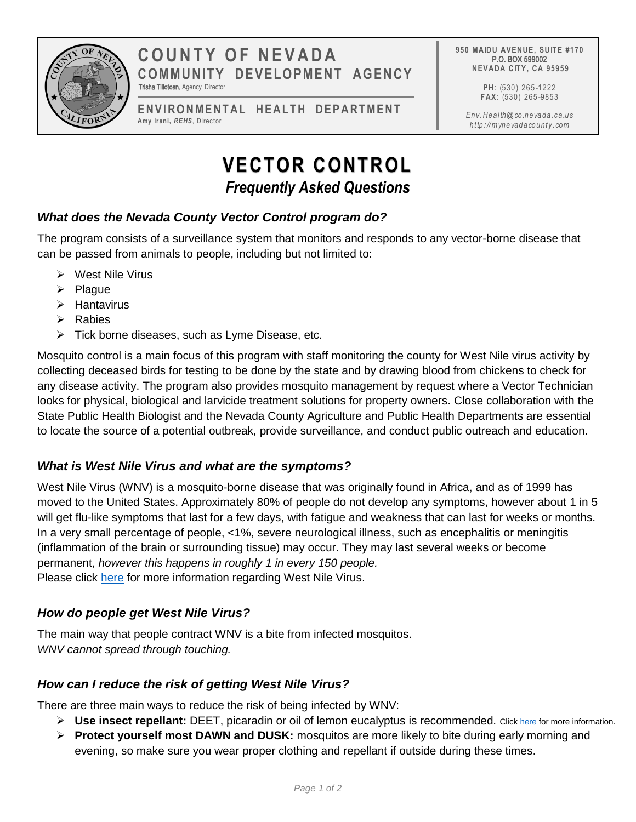

# **COUNT Y OF NE VADA COMMUNITY DEVELOPMENT AGENCY** Trisha Tillotosn, Agency Director

ENVIRONMENTAL HEALTH DEPARTMENT **Amy Irani,** *REHS*, Director

**950 MAIDU AVENUE, SUITE #170** P.O. BOX 599002 **NEVADA CITY, CA 95959**

> **PH**: (530) 265 -1222 **FAX**: (530) 265 -9853

*Env.Health@co .nevada.ca.us http ://mynevadacounty .com*

# **VECTOR CONTROL** *Frequently Asked Questions*

# *What does the Nevada County Vector Control program do?*

The program consists of a surveillance system that monitors and responds to any vector-borne disease that can be passed from animals to people, including but not limited to:

- West Nile Virus
- $\triangleright$  Plague
- $\triangleright$  Hantavirus
- $\triangleright$  Rabies
- $\triangleright$  Tick borne diseases, such as Lyme Disease, etc.

Mosquito control is a main focus of this program with staff monitoring the county for West Nile virus activity by collecting deceased birds for testing to be done by the state and by drawing blood from chickens to check for any disease activity. The program also provides mosquito management by request where a Vector Technician looks for physical, biological and larvicide treatment solutions for property owners. Close collaboration with the State Public Health Biologist and the Nevada County Agriculture and Public Health Departments are essential to locate the source of a potential outbreak, provide surveillance, and conduct public outreach and education.

## *What is West Nile Virus and what are the symptoms?*

West Nile Virus (WNV) is a mosquito-borne disease that was originally found in Africa, and as of 1999 has moved to the United States. Approximately 80% of people do not develop any symptoms, however about 1 in 5 will get flu-like symptoms that last for a few days, with fatigue and weakness that can last for weeks or months. In a very small percentage of people, <1%, severe neurological illness, such as encephalitis or meningitis (inflammation of the brain or surrounding tissue) may occur. They may last several weeks or become permanent, *however this happens in roughly 1 in every 150 people.* Please click [here](https://www.mynevadacounty.com/2291/West-Nile-Virus) for more information regarding West Nile Virus.

## *How do people get West Nile Virus?*

The main way that people contract WNV is a bite from infected mosquitos. *WNV cannot spread through touching.* 

## *How can I reduce the risk of getting West Nile Virus?*

There are three main ways to reduce the risk of being infected by WNV:

- **►** Use insect repellant: DEET, picaradin or oil of lemon eucalyptus is recommended. Clic[k here f](https://www.cdc.gov/westnile/faq/repellent.html)or more information.
- **Protect yourself most DAWN and DUSK:** mosquitos are more likely to bite during early morning and evening, so make sure you wear proper clothing and repellant if outside during these times.